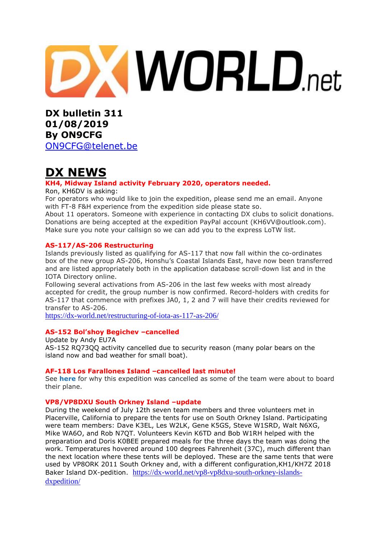# **XWORLD.net**

**DX bulletin 311 01/08/2019 By ON9CFG**  [ON9CFG@telenet.be](mailto:ON9CFG@telenet.be)

# **DX NEWS**

### **KH4, Midway Island activity February 2020, operators needed.**

Ron, KH6DV is asking:

For operators who would like to join the expedition, please send me an email. Anyone with FT-8 F&H experience from the expedition side please state so.

About 11 operators. Someone with experience in contacting DX clubs to solicit donations. Donations are being accepted at the expedition PayPal account (KH6VV@outlook.com). Make sure you note your callsign so we can add you to the express LoTW list.

### **AS-117/AS-206 Restructuring**

Islands previously listed as qualifying for AS-117 that now fall within the co-ordinates box of the new group AS-206, Honshu's Coastal Islands East, have now been transferred and are listed appropriately both in the application database scroll-down list and in the IOTA Directory online.

Following several activations from AS-206 in the last few weeks with most already accepted for credit, the group number is now confirmed. Record-holders with credits for AS-117 that commence with prefixes JA0, 1, 2 and 7 will have their credits reviewed for transfer to AS-206.

<https://dx-world.net/restructuring-of-iota-as-117-as-206/>

### **AS-152 Bol'shoy Begichev –cancelled**

Update by Andy EU7A AS-152 RQ73QQ activity cancelled due to security reason (many polar bears on the island now and bad weather for small boat).

### **AF-118 Los Farallones Island –cancelled last minute!**

See **[here](https://5c9a.com/)** for why this expedition was cancelled as some of the team were about to board their plane.

### **VP8/VP8DXU South Orkney Island –update**

During the weekend of July 12th seven team members and three volunteers met in Placerville, California to prepare the tents for use on South Orkney Island. Participating were team members: Dave K3EL, Les W2LK, Gene K5GS, Steve W1SRD, Walt N6XG, Mike WA6O, and Rob N7QT. Volunteers Kevin K6TD and Bob W1RH helped with the preparation and Doris K0BEE prepared meals for the three days the team was doing the work. Temperatures hovered around 100 degrees Fahrenheit (37C), much different than the next location where these tents will be deployed. These are the same tents that were used by VP8ORK 2011 South Orkney and, with a different configuration,KH1/KH7Z 2018 Baker Island DX-pedition. [https://dx-world.net/vp8-vp8dxu-south-orkney-islands](https://dx-world.net/vp8-vp8dxu-south-orkney-islands-dxpedition/)[dxpedition/](https://dx-world.net/vp8-vp8dxu-south-orkney-islands-dxpedition/)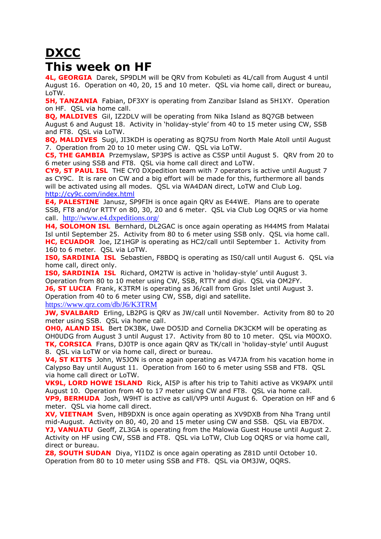# **DXCC This week on HF**

**4L, GEORGIA** Darek, SP9DLM will be QRV from Kobuleti as 4L/call from August 4 until August 16. Operation on 40, 20, 15 and 10 meter. QSL via home call, direct or bureau, LoTW.

**5H, TANZANIA** Fabian, DF3XY is operating from Zanzibar Island as 5H1XY. Operation on HF. QSL via home call.

**8Q, MALDIVES** Gil, IZ2DLV will be operating from Nika Island as 8Q7GB between August 6 and August 18. Activity in 'holiday-style' from 40 to 15 meter using CW, SSB and FT8. QSL via LoTW.

**8Q, MALDIVES** Sugi, JI3KDH is operating as 8Q7SU from North Male Atoll until August 7. Operation from 20 to 10 meter using CW. QSL via LoTW.

**C5, THE GAMBIA** Przemyslaw, SP3PS is active as C5SP until August 5. QRV from 20 to 6 meter using SSB and FT8. QSL via home call direct and LoTW.

**CY9, ST PAUL ISL** THE CY0 DXpedition team with 7 operators is active until August 7 as CY9C. It is rare on CW and a big effort will be made for this, furthermore all bands will be activated using all modes. QSL via WA4DAN direct, LoTW and Club Log. <http://cy9c.com/index.html>

**E4, PALESTINE** Janusz, SP9FIH is once again QRV as E44WE. Plans are to operate SSB, FT8 and/or RTTY on 80, 30, 20 and 6 meter. QSL via Club Log OQRS or via home call. <http://www.e4.dxpeditions.org/>

**H4, SOLOMON ISL** Bernhard, DL2GAC is once again operating as H44MS from Malatai Isl until September 25. Activity from 80 to 6 meter using SSB only. QSL via home call. **HC, ECUADOR** Joe, IZ1HGP is operating as HC2/call until September 1. Activity from 160 to 6 meter. QSL via LoTW.

**IS0, SARDINIA ISL** Sebastien, F8BDQ is operating as IS0/call until August 6. QSL via home call, direct only.

**IS0, SARDINIA ISL** Richard, OM2TW is active in 'holiday-style' until August 3. Operation from 80 to 10 meter using CW, SSB, RTTY and digi. QSL via OM2FY. **J6, ST LUCIA** Frank, K3TRM is operating as J6/call from Gros Islet until August 3.

Operation from 40 to 6 meter using CW, SSB, digi and satellite.

<https://www.qrz.com/db/J6/K3TRM>

**JW, SVALBARD** Erling, LB2PG is ORV as JW/call until November. Activity from 80 to 20 meter using SSB. QSL via home call.

**OHO, ALAND ISL** Bert DK3BK, Uwe DO5JD and Cornelia DK3CKM will be operating as OH0UDG from August 3 until August 17. Activity from 80 to 10 meter. QSL via M0OXO. **TK, CORSICA** Frans, DJ0TP is once again QRV as TK/call in 'holiday-style' until August 8. QSL via LoTW or via home call, direct or bureau.

**V4, ST KITTS** John, W5JON is once again operating as V47JA from his vacation home in Calypso Bay until August 11. Operation from 160 to 6 meter using SSB and FT8. QSL via home call direct or LoTW.

**VK9L, LORD HOWE ISLAND** Rick, AI5P is after his trip to Tahiti active as VK9APX until August 10. Operation from 40 to 17 meter using CW and FT8. QSL via home call. **VP9, BERMUDA** Josh, W9HT is active as call/VP9 until August 6. Operation on HF and 6 meter. QSL via home call direct.

**XV, VIETNAM** Sven, HB9DXN is once again operating as XV9DXB from Nha Trang until mid-August. Activity on 80, 40, 20 and 15 meter using CW and SSB. QSL via EB7DX. **YJ, VANUATU** Geoff, ZL3GA is operating from the Malowia Guest House until August 2. Activity on HF using CW, SSB and FT8. QSL via LoTW, Club Log OQRS or via home call, direct or bureau.

**Z8, SOUTH SUDAN** Diya, YI1DZ is once again operating as Z81D until October 10. Operation from 80 to 10 meter using SSB and FT8. QSL via OM3JW, OQRS.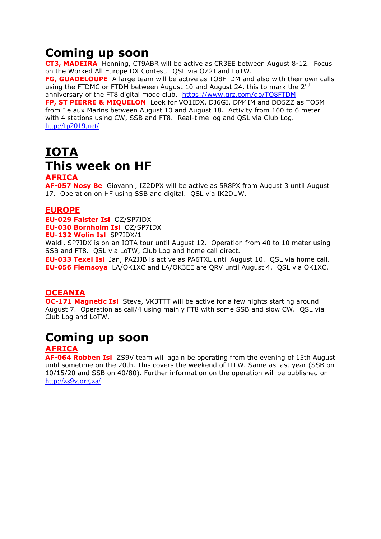# **Coming up soon**

**CT3, MADEIRA** Henning, CT9ABR will be active as CR3EE between August 8-12. Focus on the Worked All Europe DX Contest. QSL via OZ2I and LoTW.

**FG, GUADELOUPE** A large team will be active as TO8FTDM and also with their own calls using the FTDMC or FTDM between August 10 and August 24, this to mark the  $2^{nd}$ anniversary of the FT8 digital mode club. <https://www.qrz.com/db/TO8FTDM>

**FP, ST PIERRE & MIQUELON** Look for VO1IDX, DJ6GI, DM4IM and DD5ZZ as TO5M from Ile aux Marins between August 10 and August 18. Activity from 160 to 6 meter with 4 stations using CW, SSB and FT8. Real-time log and QSL via Club Log. <http://fp2019.net/>

# **IOTA This week on HF**

### **AFRICA**

**AF-057 Nosy Be** Giovanni, IZ2DPX will be active as 5R8PX from August 3 until August 17. Operation on HF using SSB and digital. QSL via IK2DUW.

### **EUROPE**

**EU-029 Falster Isl** OZ/SP7IDX **EU-030 Bornholm Isl** OZ/SP7IDX **EU-132 Wolin Isl** SP7IDX/1 Waldi, SP7IDX is on an IOTA tour until August 12. Operation from 40 to 10 meter using SSB and FT8. QSL via LoTW, Club Log and home call direct.

**EU-033 Texel Isl** Jan, PA2JJB is active as PA6TXL until August 10. QSL via home call. **EU-056 Flemsoya** LA/OK1XC and LA/OK3EE are QRV until August 4. QSL via OK1XC.

### **OCEANIA**

**OC-171 Magnetic Isl** Steve, VK3TTT will be active for a few nights starting around August 7. Operation as call/4 using mainly FT8 with some SSB and slow CW. QSL via Club Log and LoTW.

# **Coming up soon**

### **AFRICA**

**AF-064 Robben Isl** ZS9V team will again be operating from the evening of 15th August until sometime on the 20th. This covers the weekend of ILLW. Same as last year (SSB on 10/15/20 and SSB on 40/80). Further information on the operation will be published on <http://zs9v.org.za/>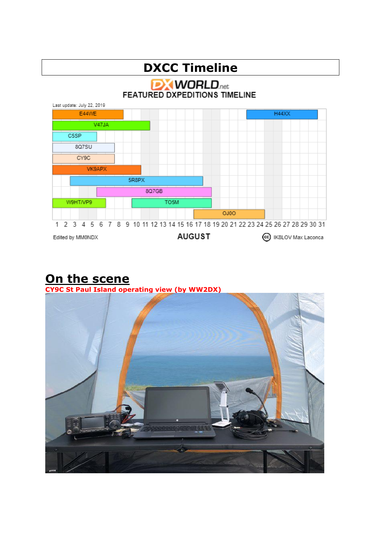

### **On the scene CY9C St Paul Island operating view (by WW2DX)**

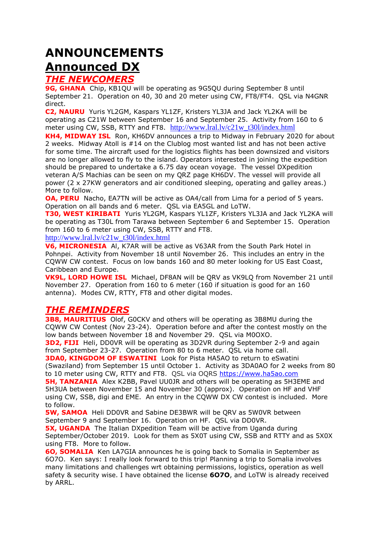# **ANNOUNCEMENTS Announced DX**

### *THE NEWCOMERS*

**9G, GHANA** Chip, KB1QU will be operating as 9G5QU during September 8 until September 21. Operation on 40, 30 and 20 meter using CW, FT8/FT4. QSL via N4GNR direct.

**C2, NAURU** Yuris YL2GM, Kaspars YL1ZF, Kristers YL3JA and Jack YL2KA will be operating as C21W between September 16 and September 25. Activity from 160 to 6 meter using CW, SSB, RTTY and FT8. [http://www.lral.lv/c21w\\_t30l/index.html](http://www.lral.lv/c21w_t30l/index.html)

**KH4, MIDWAY ISL** Ron, KH6DV announces a trip to Midway in February 2020 for about 2 weeks. Midway Atoll is #14 on the Clublog most wanted list and has not been active for some time. The aircraft used for the logistics flights has been downsized and visitors are no longer allowed to fly to the island. Operators interested in joining the expedition should be prepared to undertake a 6.75 day ocean voyage. The vessel DXpedition veteran A/S Machias can be seen on my QRZ page KH6DV. The vessel will provide all power (2 x 27KW generators and air conditioned sleeping, operating and galley areas.) More to follow.

**OA, PERU** Nacho, EA7TN will be active as OA4/call from Lima for a period of 5 years. Operation on all bands and 6 meter. QSL via EA5GL and LoTW.

**T30, WEST KIRIBATI** Yuris YL2GM, Kaspars YL1ZF, Kristers YL3JA and Jack YL2KA will be operating as T30L from Tarawa between September 6 and September 15. Operation from 160 to 6 meter using CW, SSB, RTTY and FT8.

[http://www.lral.lv/c21w\\_t30l/index.html](http://www.lral.lv/c21w_t30l/index.html)

**V6, MICRONESIA** Al, K7AR will be active as V63AR from the South Park Hotel in Pohnpei. Activity from November 18 until November 26. This includes an entry in the CQWW CW contest. Focus on low bands 160 and 80 meter looking for US East Coast, Caribbean and Europe.

**VK9L, LORD HOWE ISL** Michael, DF8AN will be QRV as VK9LQ from November 21 until November 27. Operation from 160 to 6 meter (160 if situation is good for an 160 antenna). Modes CW, RTTY, FT8 and other digital modes.

### *THE REMINDERS*

**3B8, MAURITIUS** Olof, G0CKV and others will be operating as 3B8MU during the CQWW CW Contest (Nov 23-24). Operation before and after the contest mostly on the low bands between November 18 and November 29. QSL via M0OXO.

**3D2, FIJI** Heli, DD0VR will be operating as 3D2VR during September 2-9 and again from September 23-27. Operation from 80 to 6 meter. QSL via home call.

**3DA0, KINGDOM OF ESWATINI** Look for Pista HA5AO to return to eSwatini (Swaziland) from September 15 until October 1. Activity as 3DA0AO for 2 weeks from 80 to 10 meter using CW, RTTY and FT8. QSL via OQRS [https://www.ha5ao.com](https://www.ha5ao.com/)

**5H, TANZANIA** Alex K2BB, Pavel UU0JR and others will be operating as 5H3EME and 5H3UA between November 15 and November 30 (approx). Operation on HF and VHF using CW, SSB, digi and EME. An entry in the CQWW DX CW contest is included. More to follow.

**5W, SAMOA** Heli DD0VR and Sabine DE3BWR will be QRV as 5W0VR between September 9 and September 16. Operation on HF. QSL via DD0VR.

**5X, UGANDA** The Italian DXpedition Team will be active from Uganda during September/October 2019. Look for them as 5X0T using CW, SSB and RTTY and as 5X0X using FT8. More to follow.

**6O, SOMALIA** Ken LA7GIA announces he is going back to Somalia in September as 6O7O. Ken says: I really look forward to this trip! Planning a trip to Somalia involves many limitations and challenges wrt obtaining permissions, logistics, operation as well safety & security wise. I have obtained the license **6O7O**, and LoTW is already received by ARRL.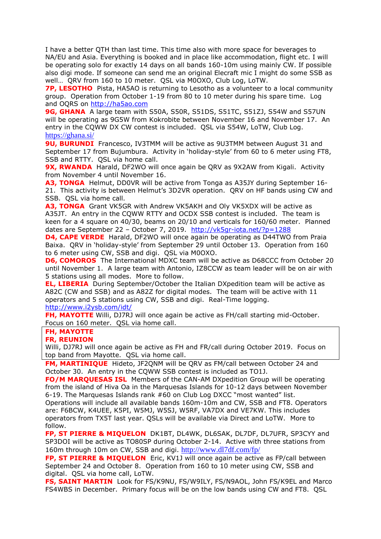I have a better QTH than last time. This time also with more space for beverages to NA/EU and Asia. Everything is booked and in place like accommodation, flight etc. I will be operating solo for exactly 14 days on all bands 160-10m using mainly CW. If possible also digi mode. If someone can send me an original Elecraft mic I might do some SSB as well… QRV from 160 to 10 meter. QSL via M0OXO, Club Log, LoTW.

**7P, LESOTHO** Pista, HA5AO is returning to Lesotho as a volunteer to a local community group. Operation from October 1-19 from 80 to 10 meter during his spare time. Log and OQRS on [http://ha5ao.com](http://ha5ao.com/)

9G, GHANA A large team with S50A, S50R, S51DS, S51TC, S51ZJ, S54W and S57UN will be operating as 9G5W from Kokrobite between November 16 and November 17. An entry in the CQWW DX CW contest is included. QSL via S54W, LoTW, Club Log. <https://ghana.si/>

**9U, BURUNDI** Francesco, IV3TMM will be active as 9U3TMM between August 31 and September 17 from Bujumbura. Activity in 'holiday-style' from 60 to 6 meter using FT8, SSB and RTTY. QSL via home call.

**9X, RWANDA** Harald, DF2WO will once again be ORV as 9X2AW from Kigali. Activity from November 4 until November 16.

**A3, TONGA** Helmut, DD0VR will be active from Tonga as A35JY during September 16- 21. This activity is between Helmut's [3D2VR](https://dx-world.net/3d2vr-fiji/) operation. QRV on HF bands using CW and SSB. QSL via home call.

**A3, TONGA** Grant VK5GR with Andrew VK5AKH and Oly VK5XDX will be active as A35JT. An entry in the CQWW RTTY and OCDX SSB contest is included. The team is keen for a 4 square on 40/30, beams on 20/10 and verticals for 160/60 meter. Planned dates are September 22 – October 7, 2019. <http://vk5gr-iota.net/?p=1288>

**D4, CAPE VERDE** Harald, DF2WO will once again be operating as D44TWO from Praia Baixa. QRV in 'holiday-style' from September 29 until October 13. Operation from 160 to 6 meter using CW, SSB and digi. QSL via M0OXO.

**D6, COMOROS** The International MDXC team will be active as D68CCC from October 20 until November 1. A large team with Antonio, IZ8CCW as team leader will be on air with 5 stations using all modes. More to follow.

**EL, LIBERIA** During September/October the Italian DXpedition team will be active as A82C (CW and SSB) and as A82Z for digital modes. The team will be active with 11 operators and 5 stations using CW, SSB and digi. Real-Time logging. <http://www.i2ysb.com/idt/>

**FH, MAYOTTE** Willi, DJ7RJ will once again be active as FH/call starting mid-October. Focus on 160 meter. QSL via home call.

### **FH, MAYOTTE**

### **FR, REUNION**

Willi, DJ7RJ will once again be active as FH and FR/call during October 2019. Focus on top band from Mayotte. QSL via home call.

**FM, MARTINIQUE** Hideto, JF2QNM will be QRV as FM/call between October 24 and October 30. An entry in the CQWW SSB contest is included as TO1J.

**FO/M MARQUESAS ISL** Members of the CAN-AM DXpedition Group will be operating from the island of Hiva Oa in the Marquesas Islands for 10-12 days between November 6-19. The Marquesas Islands rank #60 on Club Log DXCC "most wanted" list.

Operations will include all available bands 160m-10m and CW, SSB and FT8. Operators are: F6BCW, K4UEE, K5PI, W5MJ, W5SJ, W5RF, VA7DX and VE7KW. This includes operators from TX5T last year. QSLs will be available via Direct and LoTW. More to follow.

**FP, ST PIERRE & MIQUELON** DK1BT, DL4WK, DL6SAK, DL7DF, DL7UFR, SP3CYY and SP3DOI will be active as TO80SP during October 2-14. Active with three stations from 160m through 10m on CW, SSB and digi. <http://www.dl7df.com/fp/>

**FP, ST PIERRE & MIQUELON** Eric, KV1J will once again be active as FP/call between September 24 and October 8. Operation from 160 to 10 meter using CW, SSB and digital. QSL via home call, LoTW.

**FS, SAINT MARTIN** Look for FS/K9NU, FS/W9ILY, FS/N9AOL, John FS/K9EL and Marco FS4WBS in December. Primary focus will be on the low bands using CW and FT8. QSL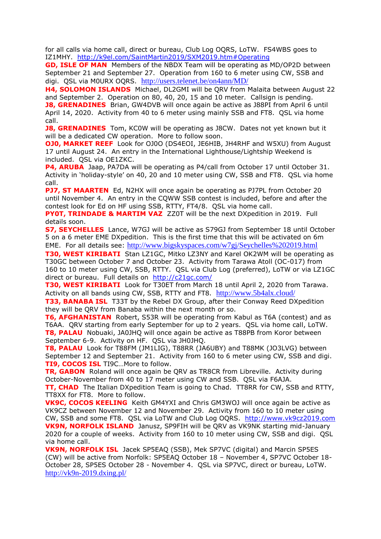for all calls via home call, direct or bureau, Club Log OQRS, LoTW. FS4WBS goes to IZ1MHY. <http://k9el.com/SaintMartin2019/SXM2019.htm#Operating>

**GD, ISLE OF MAN** Members of the NBDX Team will be operating as MD/OP2D between September 21 and September 27. Operation from 160 to 6 meter using CW, SSB and digi. QSL via M0URX OQRS. <http://users.telenet.be/on4ann/MD/>

**H4, SOLOMON ISLANDS** Michael, DL2GMI will be ORV from Malaita between August 22 and September 2. Operation on 80, 40, 20, 15 and 10 meter. Callsign is pending.

**J8, GRENADINES** Brian, GW4DVB will once again be active as J88PI from April 6 until April 14, 2020. Activity from 40 to 6 meter using mainly SSB and FT8. QSL via home call.

**J8, GRENADINES** Tom, KC0W will be operating as J8CW. Dates not yet known but it will be a dedicated CW operation. More to follow soon.

**OJ0, MARKET REEF** Look for OJ0O (DS4EOI, JE6HIB, JH4RHF and W5XU) from August 17 until August 24. An entry in the International Lighthouse/Lightship Weekend is included. QSL via OE1ZKC.

**P4, ARUBA** Jaap, PA7DA will be operating as P4/call from October 17 until October 31. Activity in 'holiday-style' on 40, 20 and 10 meter using CW, SSB and FT8. QSL via home call.

**PJ7, ST MAARTEN** Ed, N2HX will once again be operating as PJ7PL from October 20 until November 4. An entry in the CQWW SSB contest is included, before and after the contest look for Ed on HF using SSB, RTTY, FT4/8. QSL via home call.

**PY0T, TRINDADE & MARTIM VAZ** ZZ0T will be the next DXpedition in 2019. Full details soon.

**S7, SEYCHELLES** Lance, W7GJ will be active as S79GJ from September 18 until October 5 on a 6 meter EME DXpedition. This is the first time that this will be activated on 6m EME. For all details see: http://www.bigskyspaces.com/w7gj/Seychelles%202019.html

**T30, WEST KIRIBATI** Stan LZ1GC, Mitko LZ3NY and Karel OK2WM will be operating as T30GC between October 7 and October 23. Activity from Tarawa Atoll (OC-017) from 160 to 10 meter using CW, SSB, RTTY. QSL via Club Log (preferred), LoTW or via LZ1GC direct or bureau. Full details on <http://c21gc.com/>

**T30, WEST KIRIBATI** Look for T30ET from March 18 until April 2, 2020 from Tarawa. Activity on all bands using CW, SSB, RTTY and FT8. <http://www.5b4alx.cloud/>

**T33, BANABA ISL** T33T by the Rebel DX Group, after their Conway Reed DXpedition they will be QRV from Banaba within the next month or so.

**T6, AFGHANISTAN** Robert, S53R will be operating from Kabul as T6A (contest) and as T6AA. QRV starting from early September for up to 2 years. QSL via home call, LoTW. **T8, PALAU** Nobuaki, JA0JHQ will once again be active as T88PB from Koror between September 6-9. Activity on HF. QSL via JH0JHQ.

**T8, PALAU** Look for T88FM (JM1LIG), T88RR (JA6UBY) and T88MK (JO3LVG) between September 12 and September 21. Activity from 160 to 6 meter using CW, SSB and digi. **TI9, COCOS ISL** TI9C…More to follow.

**TR, GABON** Roland will once again be QRV as TR8CR from Libreville. Activity during October-November from 40 to 17 meter using CW and SSB. QSL via F6AJA. **TT, CHAD** The Italian DXpedition Team is going to Chad. TT8RR for CW, SSB and RTTY, TT8XX for FT8. More to follow.

**VK9C, COCOS KEELING** Keith GM4YXI and Chris GM3WOJ will once again be active as VK9CZ between November 12 and November 29. Activity from 160 to 10 meter using CW, SSB and some FT8. QSL via LoTW and Club Log OQRS. [http://www.vk9cz2019.com](http://www.vk9cz2019.com/) **VK9N, NORFOLK ISLAND** Janusz, SP9FIH will be QRV as VK9NK starting mid-January 2020 for a couple of weeks. Activity from 160 to 10 meter using CW, SSB and digi. QSL via home call.

**VK9N, NORFOLK ISL** Jacek SP5EAQ (SSB), Mek SP7VC (digital) and Marcin SP5ES (CW) will be active from Norfolk: SP5EAQ October 18 – November 4, SP7VC October 18- October 28, SP5ES October 28 - November 4. QSL via SP7VC, direct or bureau, LoTW. <http://vk9n-2019.dxing.pl/>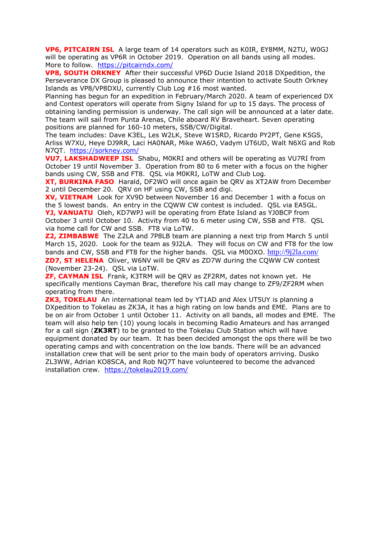**VP6, PITCAIRN ISL** A large team of 14 operators such as K0IR, EY8MM, N2TU, W0GJ will be operating as VP6R in October 2019. Operation on all bands using all modes. More to follow. <https://pitcairndx.com/>

**VP8, SOUTH ORKNEY** After their successful VP6D Ducie Island 2018 DXpedition, the Perseverance DX Group is pleased to announce their intention to activate South Orkney Islands as VP8/VP8DXU, currently Club Log #16 most wanted.

Planning has begun for an expedition in February/March 2020. A team of experienced DX and Contest operators will operate from Signy Island for up to 15 days. The process of obtaining landing permission is underway. The call sign will be announced at a later date. The team will sail from Punta Arenas, Chile aboard RV Braveheart. Seven operating positions are planned for 160-10 meters, SSB/CW/Digital.

The team includes: Dave K3EL, Les W2LK, Steve W1SRD, Ricardo PY2PT, Gene K5GS, Arliss W7XU, Heye DJ9RR, Laci HA0NAR, Mike WA6O, Vadym UT6UD, Walt N6XG and Rob N7QT. <https://sorkney.com/>

**VU7, LAKSHADWEEP ISL** Shabu, M0KRI and others will be operating as VU7RI from October 19 until November 3. Operation from 80 to 6 meter with a focus on the higher bands using CW, SSB and FT8. QSL via M0KRI, LoTW and Club Log.

**XT, BURKINA FASO** Harald, DF2WO will once again be QRV as XT2AW from December 2 until December 20. QRV on HF using CW, SSB and digi.

**XV, VIETNAM** Look for XV9D between November 16 and December 1 with a focus on the 5 lowest bands. An entry in the CQWW CW contest is included. QSL via EA5GL. **YJ, VANUATU** Oleh, KD7WPJ will be operating from Efate Island as YJ0BCP from

October 3 until October 10. Activity from 40 to 6 meter using CW, SSB and FT8. QSL via home call for CW and SSB. FT8 via LoTW.

**Z2, ZIMBABWE** The Z2LA and 7P8LB team are planning a next trip from March 5 until March 15, 2020. Look for the team as 9J2LA. They will focus on CW and FT8 for the low bands and CW, SSB and FT8 for the higher bands. QSL via M0OXO. <http://9j2la.com/> **ZD7, ST HELENA** Oliver, W6NV will be QRV as ZD7W during the CQWW CW contest (November 23-24). QSL via LoTW.

**ZF, CAYMAN ISL** Frank, K3TRM will be QRV as ZF2RM, dates not known yet. He specifically mentions Cayman Brac, therefore his call may change to ZF9/ZF2RM when operating from there.

**ZK3, TOKELAU** An international team led by YT1AD and Alex UT5UY is planning a DXpedition to Tokelau as ZK3A, it has a high rating on low bands and EME. Plans are to be on air from October 1 until October 11. Activity on all bands, all modes and EME. The team will also help ten (10) young locals in becoming Radio Amateurs and has arranged for a call sign (**ZK3RT**) to be granted to the Tokelau Club Station which will have equipment donated by our team. It has been decided amongst the ops there will be two operating camps and with concentration on the low bands. There will be an advanced installation crew that will be sent prior to the main body of operators arriving. Dusko ZL3WW, Adrian KO8SCA, and Rob NQ7T have volunteered to become the advanced installation crew. <https://tokelau2019.com/>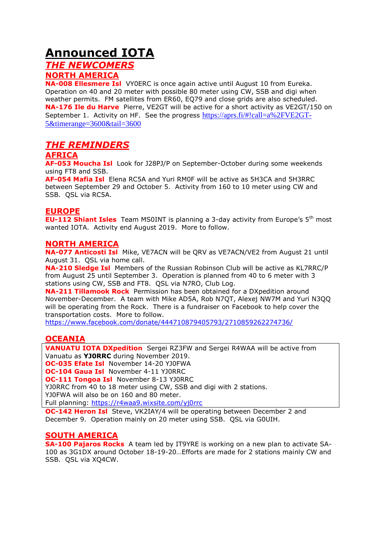# **Announced IOTA**

### *THE NEWCOMERS* **NORTH AMERICA**

**NA-008 Ellesmere Isl** VY0ERC is once again active until August 10 from Eureka. Operation on 40 and 20 meter with possible 80 meter using CW, SSB and digi when weather permits. FM satellites from ER60, EQ79 and close grids are also scheduled. **NA-176 Ile du Harve** Pierre, VE2GT will be active for a short activity as VE2GT/150 on September 1. Activity on HF. See the progress [https://aprs.fi/#!call=a%2FVE2GT-](https://aprs.fi/#!call=a%2FVE2GT-5&timerange=3600&tail=3600)[5&timerange=3600&tail=3600](https://aprs.fi/#!call=a%2FVE2GT-5&timerange=3600&tail=3600)

### *THE REMINDERS*

### **AFRICA**

**AF-053 Moucha Isl** Look for J28PJ/P on September-October during some weekends using FT8 and SSB.

**AF-054 Mafia Isl** Elena RC5A and Yuri RM0F will be active as 5H3CA and 5H3RRC between September 29 and October 5. Activity from 160 to 10 meter using CW and SSB. QSL via RC5A.

### **EUROPE**

**EU-112 Shiant Isles** Team MS0INT is planning a 3-day activity from Europe's 5<sup>th</sup> most wanted IOTA. Activity end August 2019. More to follow.

### **NORTH AMERICA**

**NA-077 Anticosti Isl** Mike, VE7ACN will be QRV as VE7ACN/VE2 from August 21 until August 31. QSL via home call.

**NA-210 Sledge Isl** Members of the Russian Robinson Club will be active as KL7RRC/P from August 25 until September 3. Operation is planned from 40 to 6 meter with 3 stations using CW, SSB and FT8. QSL via N7RO, Club Log.

**NA-211 Tillamook Rock** Permission has been obtained for a DXpedition around November-December. A team with Mike AD5A, Rob N7QT, Alexej NW7M and Yuri N3QQ will be operating from the Rock. There is a fundraiser on Facebook to help cover the transportation costs. More to follow.

<https://www.facebook.com/donate/444710879405793/2710859262274736/>

### **OCEANIA**

**VANUATU IOTA DXpedition** Sergei RZ3FW and Sergei R4WAA will be active from Vanuatu as **YJ0RRC** during November 2019.

**OC-035 Efate Isl** November 14-20 YJ0FWA

**OC-104 Gaua Isl** November 4-11 YJ0RRC

**OC-111 Tongoa Isl** November 8-13 YJ0RRC

YJ0RRC from 40 to 18 meter using CW, SSB and digi with 2 stations.

YJ0FWA will also be on 160 and 80 meter.

Full planning:<https://r4waa9.wixsite.com/yj0rrc>

**OC-142 Heron Isl** Steve, VK2IAY/4 will be operating between December 2 and December 9. Operation mainly on 20 meter using SSB. QSL via G0UIH.

### **SOUTH AMERICA**

**SA-100 Pajaros Rocks** A team led by IT9YRE is working on a new plan to activate SA-100 as 3G1DX around October 18-19-20…Efforts are made for 2 stations mainly CW and SSB. QSL via XQ4CW.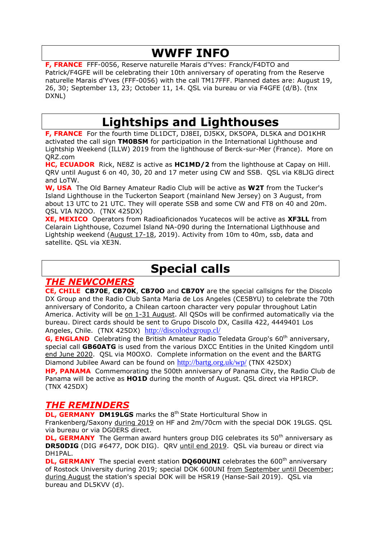# **WWFF INFO**

**F, FRANCE** FFF-0056, Reserve naturelle Marais d'Yves: Franck/F4DTO and Patrick/F4GFE will be celebrating their 10th anniversary of operating from the Reserve naturelle Marais d'Yves (FFF-0056) with the call TM17FFF. Planned dates are: August 19, 26, 30; September 13, 23; October 11, 14. QSL via bureau or via F4GFE (d/B). (tnx DXNL)

# **Lightships and Lighthouses**

**F, FRANCE** For the fourth time DL1DCT, DJ8EI, DJ5KX, DK5OPA, DL5KA and DO1KHR activated the call sign **TM0BSM** for participation in the International Lighthouse and Lightship Weekend (ILLW) 2019 from the lighthouse of Berck-sur-Mer (France). More on QRZ.com

**HC, ECUADOR** Rick, NE8Z is active as **HC1MD/2** from the lighthouse at Capay on Hill. QRV until August 6 on 40, 30, 20 and 17 meter using CW and SSB. QSL via K8LJG direct and LoTW.

**W, USA** The Old Barney Amateur Radio Club will be active as **W2T** from the Tucker's Island Lighthouse in the Tuckerton Seaport (mainland New Jersey) on 3 August, from about 13 UTC to 21 UTC. They will operate SSB and some CW and FT8 on 40 and 20m. QSL VIA N2OO. (TNX 425DX)

**XE, MEXICO** Operators from Radioaficionados Yucatecos will be active as **XF3LL** from Celarain Lighthouse, Cozumel Island NA-090 during the International Ligthhouse and Lightship weekend (August 17-18, 2019). Activity from 10m to 40m, ssb, data and satellite. QSL via XE3N.

# **Special calls**

### *THE NEWCOMERS*

**CE, CHILE CB70E**, **CB70K**, **CB70O** and **CB70Y** are the special callsigns for the Discolo DX Group and the Radio Club Santa Maria de Los Angeles (CE5BYU) to celebrate the 70th anniversary of Condorito, a Chilean cartoon character very popular throughout Latin America. Activity will be on 1-31 August. All QSOs will be confirmed automatically via the bureau. Direct cards should be sent to Grupo Discolo DX, Casilla 422, 4449401 Los Angeles, Chile. (TNX 425DX) <http://discolodxgroup.cl/>

**G, ENGLAND** Celebrating the British Amateur Radio Teledata Group's 60<sup>th</sup> anniversary, special call **GB60ATG** is used from the various DXCC Entities in the United Kingdom until end June 2020. QSL via M0OXO. Complete information on the event and the BARTG Diamond Jubilee Award can be found on <http://bartg.org.uk/wp/> (TNX 425DX)

**HP, PANAMA** Commemorating the 500th anniversary of Panama City, the Radio Club de Panama will be active as **HO1D** during the month of August. QSL direct via HP1RCP. (TNX 425DX)

## *THE REMINDERS*

**DL, GERMANY DM19LGS** marks the 8<sup>th</sup> State Horticultural Show in

Frankenberg/Saxony during 2019 on HF and 2m/70cm with the special DOK 19LGS. QSL via bureau or via DG0ERS direct.

**DL, GERMANY** The German award hunters group DIG celebrates its 50<sup>th</sup> anniversary as **DR50DIG** (DIG #6477, DOK DIG). QRV until end 2019. QSL via bureau or direct via DH1PAL.

**DL, GERMANY** The special event station **DQ600UNI** celebrates the 600<sup>th</sup> anniversary of Rostock University during 2019; special DOK 600UNI from September until December; during August the station's special DOK will be HSR19 (Hanse-Sail 2019). QSL via bureau and DL5KVV (d).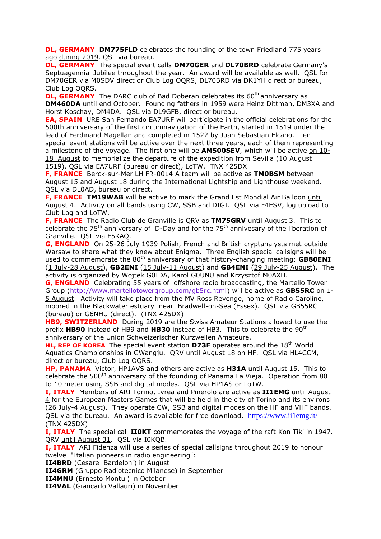**DL, GERMANY DM775FLD** celebrates the founding of the town Friedland 775 years ago during 2019. QSL via bureau.

**DL, GERMANY** The special event calls **DM70GER** and **DL70BRD** celebrate Germany's Septuagennial Jubilee throughout the year. An award will be available as well. QSL for DM70GER via M0SDV direct or Club Log OQRS, DL70BRD via DK1YH direct or bureau, Club Log OQRS.

**DL, GERMANY** The DARC club of Bad Doberan celebrates its 60<sup>th</sup> anniversary as **DM460DA** until end October. Founding fathers in 1959 were Heinz Dittman, DM3XA and Horst Koschay, DM4DA. QSL via DL9GFB, direct or bureau.

**EA, SPAIN** URE San Fernando EA7URF will participate in the official celebrations for the 500th anniversary of the first circumnavigation of the Earth, started in 1519 under the lead of Ferdinand Magellan and completed in 1522 by Juan Sebastian Elcano. Ten special event stations will be active over the next three years, each of them representing a milestone of the voyage. The first one will be **AM500SEV**, which will be active on 10- 18 August to memorialize the departure of the expedition from Sevilla (10 August 1519). QSL via EA7URF (bureau or direct), LoTW. TNX 425DX

**F, FRANCE** Berck-sur-Mer LH FR-0014 A team will be active as **TM0BSM** between August 15 and August 18 during the International Lightship and Lighthouse weekend. QSL via DL0AD, bureau or direct.

**F, FRANCE TM19WAB** will be active to mark the Grand Est Mondial Air Balloon until August 4. Activity on all bands using CW, SSB and DIGI. QSL via F4ESV, log upload to Club Log and LoTW.

**F, FRANCE** The Radio Club de Granville is QRV as **TM75GRV** until August 3. This to celebrate the  $75<sup>th</sup>$  anniversary of D-Day and for the  $75<sup>th</sup>$  annivesary of the liberation of Granville. QSL via F5KAQ.

**G, ENGLAND** On 25-26 July 1939 Polish, French and British cryptanalysts met outside Warsaw to share what they knew about Enigma. Three English special callsigns will be used to commemorate the 80<sup>th</sup> anniversary of that history-changing meeting: **GB80ENI** (1 July-28 August), **GB2ENI** (15 July-11 August) and **GB4ENI** (29 July-25 August). The activity is organized by Wojtek G0IDA, Karol G0UNU and Krzysztof M0AXH.

**G, ENGLAND** Celebrating 55 years of offshore radio broadcasting, the Martello Tower Group [\(http://www.martellotowergroup.com/gb5rc.html\)](http://www.martellotowergroup.com/gb5rc.html) will be active as **GB55RC** on 1- 5 August. Activity will take place from the MV Ross Revenge, home of Radio Caroline, moored in the Blackwater estuary near Bradwell-on-Sea (Essex). QSL via GB55RC (bureau) or G6NHU (direct). (TNX 425DX)

**HB9, SWITZERLAND** During 2019 are the Swiss Amateur Stations allowed to use the prefix **HB90** instead of HB9 and **HB30** instead of HB3. This to celebrate the 90th anniversary of the Union Schweizerischer Kurzwellen Amateure.

**HL, REP OF KOREA** The special event station D73F operates around the 18<sup>th</sup> World Aquatics Championships in GWangju. QRV until August 18 on HF. QSL via HL4CCM, direct or bureau, Club Log OQRS.

**HP, PANAMA** Victor, HP1AVS and others are active as **H31A** until August 15. This to celebrate the  $500<sup>th</sup>$  anniversary of the founding of Panama La Vieja. Operation from 80 to 10 meter using SSB and digital modes. QSL via HP1AS or LoTW.

**I, ITALY** Members of ARI Torino, Ivrea and Pinerolo are active as **II1EMG** until August 4 for the European Masters Games that will be held in the city of Torino and its environs (26 July-4 August). They operate CW, SSB and digital modes on the HF and VHF bands. QSL via the bureau. An award is available for free download. https://www.ii1emg.it/ (TNX 425DX)

**I, ITALY** The special call **II0KT** commemorates the voyage of the raft Kon Tiki in 1947. QRV until August 31. QSL via I0KQB.

**I, ITALY** ARI Fidenza will use a series of special callsigns throughout 2019 to honour twelve "Italian pioneers in radio engineering":

**II4BRD** (Cesare Bardeloni) in August

**II4GRM** (Gruppo Radiotecnico Milanese) in September

**II4MNU** (Ernesto Montu') in October

**II4VAL** (Giancarlo Vallauri) in November